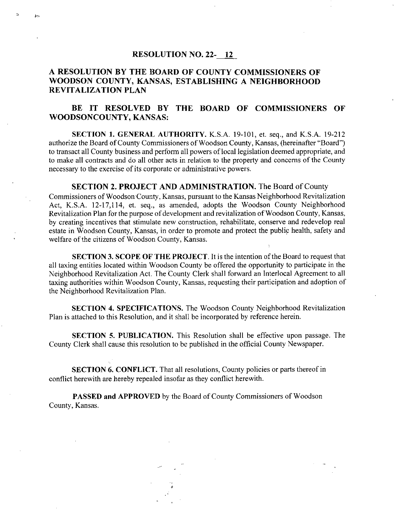#### RESOLUTION NO. 22-12

h-

## A RESOLUTION BY THE BOARD OF COUNTY COMMISSIONERS OF WOODSON COUNTY, KANSAS, ESTABLISHING A NEIGHBORHOOD REVITALIZATION PLAN

## BE IT RESOLVED BY THE BOARD OF COMMISSIONERS OF WOODSONCOUNTY, KANSAS:

SECTION 1. GENERAL AUTHORITY. K.S.A. 19-101, et. seq., and K.S.A. 19-212 authorize the Board of County Commissioners of Woodson County, Kansas, (hereinafter "Board") to transact all County business and perform all powers of local legislation deemed appropriate, and to make all contracts and do all other acts in relation to the property and concerns of the County necessary to the exercise of its corporate or administrative powers.

#### SECTION 2. PROJECT AND ADMINISTRATION. The Board of County

Commissioners of Woodson County, Kansas, pursuant to the Kansas Neighborhood Revitalization Act, K.S.A. 12-17,114, et. seq., as amended, adopts the Woodson County Neighborhood Revitalization Plan for the purpose of development and revitalization of Woodson County, Kansas, by creating incentives that stimulate new construction, rehabilitate, conserve and redevelop real estate in Woodson County, Kansas, in order to promote and protect the public health, safety and welfare of the citizens of Woodson County, Kansas.

SECTION 3. SCOPE OF THE PROJECT. It is the intention of the Board to request that all taxing entities located within Woodson County be offered the opportunity to participate in the Neighborhood Revitalization Act. The County Clerk shall forward an Interlocal Agreement to all taxing authorities within Woodson County, Kansas, requesting their participation and adoption of the Neighborhood Revitalization Plan.

SECTION 4. SPECIFICATIONS. The Woodson County Neighborhood Revitalization Plan is attached to this Resolution, and it shall be incorporated by reference herein.

SECTION 5. PUBLICATION. This Resolution shall be effective upon passage. The County Clerk shall cause this resolution to be published in the official County Newspaper.

SECTION 6. CONFLICT. That all resolutions, County policies or parts thereof in conflict herewith are hereby repealed insofar as they conflict herewith.

PASSED and APPROVED by the Board of County Commissioners of Woodson County, Kansas.